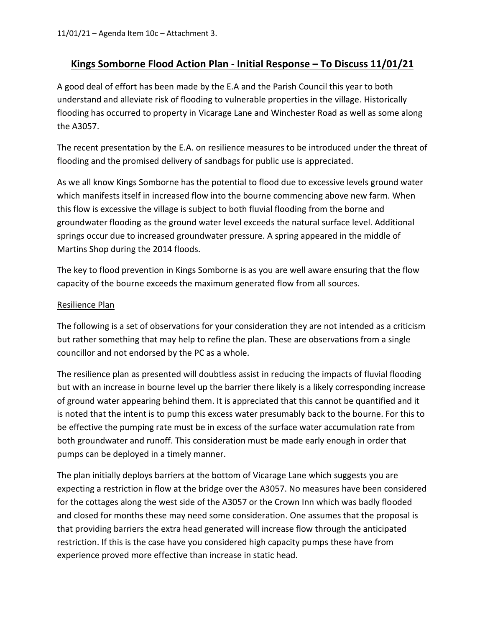## **Kings Somborne Flood Action Plan - Initial Response – To Discuss 11/01/21**

A good deal of effort has been made by the E.A and the Parish Council this year to both understand and alleviate risk of flooding to vulnerable properties in the village. Historically flooding has occurred to property in Vicarage Lane and Winchester Road as well as some along the A3057.

The recent presentation by the E.A. on resilience measures to be introduced under the threat of flooding and the promised delivery of sandbags for public use is appreciated.

As we all know Kings Somborne has the potential to flood due to excessive levels ground water which manifests itself in increased flow into the bourne commencing above new farm. When this flow is excessive the village is subject to both fluvial flooding from the borne and groundwater flooding as the ground water level exceeds the natural surface level. Additional springs occur due to increased groundwater pressure. A spring appeared in the middle of Martins Shop during the 2014 floods.

The key to flood prevention in Kings Somborne is as you are well aware ensuring that the flow capacity of the bourne exceeds the maximum generated flow from all sources.

## Resilience Plan

The following is a set of observations for your consideration they are not intended as a criticism but rather something that may help to refine the plan. These are observations from a single councillor and not endorsed by the PC as a whole.

The resilience plan as presented will doubtless assist in reducing the impacts of fluvial flooding but with an increase in bourne level up the barrier there likely is a likely corresponding increase of ground water appearing behind them. It is appreciated that this cannot be quantified and it is noted that the intent is to pump this excess water presumably back to the bourne. For this to be effective the pumping rate must be in excess of the surface water accumulation rate from both groundwater and runoff. This consideration must be made early enough in order that pumps can be deployed in a timely manner.

The plan initially deploys barriers at the bottom of Vicarage Lane which suggests you are expecting a restriction in flow at the bridge over the A3057. No measures have been considered for the cottages along the west side of the A3057 or the Crown Inn which was badly flooded and closed for months these may need some consideration. One assumes that the proposal is that providing barriers the extra head generated will increase flow through the anticipated restriction. If this is the case have you considered high capacity pumps these have from experience proved more effective than increase in static head.